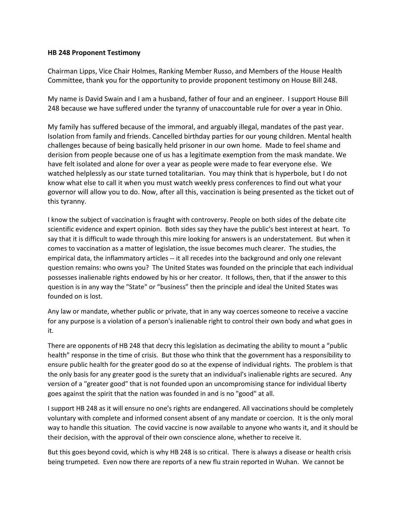## **HB 248 Proponent Testimony**

Chairman Lipps, Vice Chair Holmes, Ranking Member Russo, and Members of the House Health Committee, thank you for the opportunity to provide proponent testimony on House Bill 248.

My name is David Swain and I am a husband, father of four and an engineer. I support House Bill 248 because we have suffered under the tyranny of unaccountable rule for over a year in Ohio.

My family has suffered because of the immoral, and arguably illegal, mandates of the past year. Isolation from family and friends. Cancelled birthday parties for our young children. Mental health challenges because of being basically held prisoner in our own home. Made to feel shame and derision from people because one of us has a legitimate exemption from the mask mandate. We have felt isolated and alone for over a year as people were made to fear everyone else. We watched helplessly as our state turned totalitarian. You may think that is hyperbole, but I do not know what else to call it when you must watch weekly press conferences to find out what your governor will allow you to do. Now, after all this, vaccination is being presented as the ticket out of this tyranny.

I know the subject of vaccination is fraught with controversy. People on both sides of the debate cite scientific evidence and expert opinion. Both sides say they have the public's best interest at heart. To say that it is difficult to wade through this mire looking for answers is an understatement. But when it comes to vaccination as a matter of legislation, the issue becomes much clearer. The studies, the empirical data, the inflammatory articles -- it all recedes into the background and only one relevant question remains: who owns you? The United States was founded on the principle that each individual possesses inalienable rights endowed by his or her creator. It follows, then, that if the answer to this question is in any way the "State" or "business" then the principle and ideal the United States was founded on is lost.

Any law or mandate, whether public or private, that in any way coerces someone to receive a vaccine for any purpose is a violation of a person's inalienable right to control their own body and what goes in it.

There are opponents of HB 248 that decry this legislation as decimating the ability to mount a "public health" response in the time of crisis. But those who think that the government has a responsibility to ensure public health for the greater good do so at the expense of individual rights. The problem is that the only basis for any greater good is the surety that an individual's inalienable rights are secured. Any version of a "greater good" that is not founded upon an uncompromising stance for individual liberty goes against the spirit that the nation was founded in and is no "good" at all.

I support HB 248 as it will ensure no one's rights are endangered. All vaccinations should be completely voluntary with complete and informed consent absent of any mandate or coercion. It is the only moral way to handle this situation. The covid vaccine is now available to anyone who wants it, and it should be their decision, with the approval of their own conscience alone, whether to receive it.

But this goes beyond covid, which is why HB 248 is so critical. There is always a disease or health crisis being trumpeted. Even now there are reports of a new flu strain reported in Wuhan. We cannot be